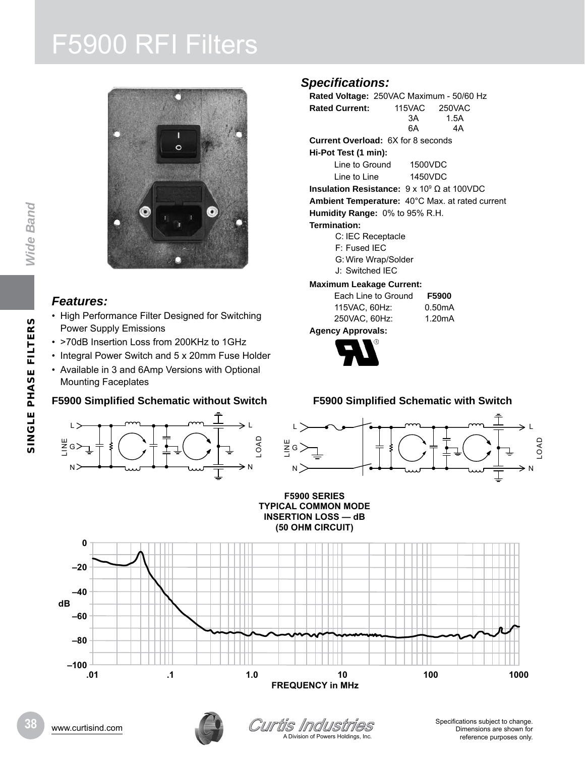# F5900 RFI Filters



### *Features:*

- High Performance Filter Designed for Switching Power Supply Emissions
- >70dB Insertion Loss from 200KHz to 1GHz
- Integral Power Switch and 5 x 20mm Fuse Holder
- Available in 3 and 6Amp Versions with Optional Mounting Faceplates

## **F5900 Simplified Schematic without Switch**



# *Specifications:*

**Rated Voltage:** 250VAC Maximum - 50/60 Hz **Rated Current:** 115VAC 250VAC 3A 1.5A 6A 4A **Current Overload:** 6X for 8 seconds **Hi-Pot Test (1 min):** Line to Ground 1500VDC Line to Line 1450VDC **Insulation Resistance:** 9 x 109 Ω at 100VDC **Ambient Temperature:** 40°C Max. at rated current **Humidity Range:** 0% to 95% R.H. **Termination:** C: IEC Receptacle F: Fused IEC G: Wire Wrap/Solder J: Switched IEC

#### **Maximum Leakage Current:**

| Each Line to Ground      | F5900  |
|--------------------------|--------|
| 115VAC, 60Hz:            | 0.50mA |
| 250VAC, 60Hz:            | 1.20mA |
| <b>Agency Approvals:</b> |        |



### **F5900 Simplified Schematic with Switch**







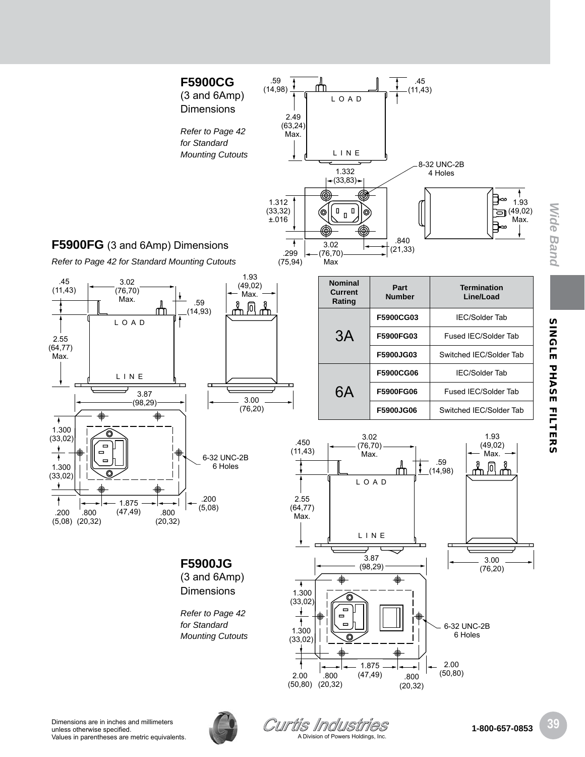

SINGLE PHASE FILTERS

*Wide Band*

**Wide Band**